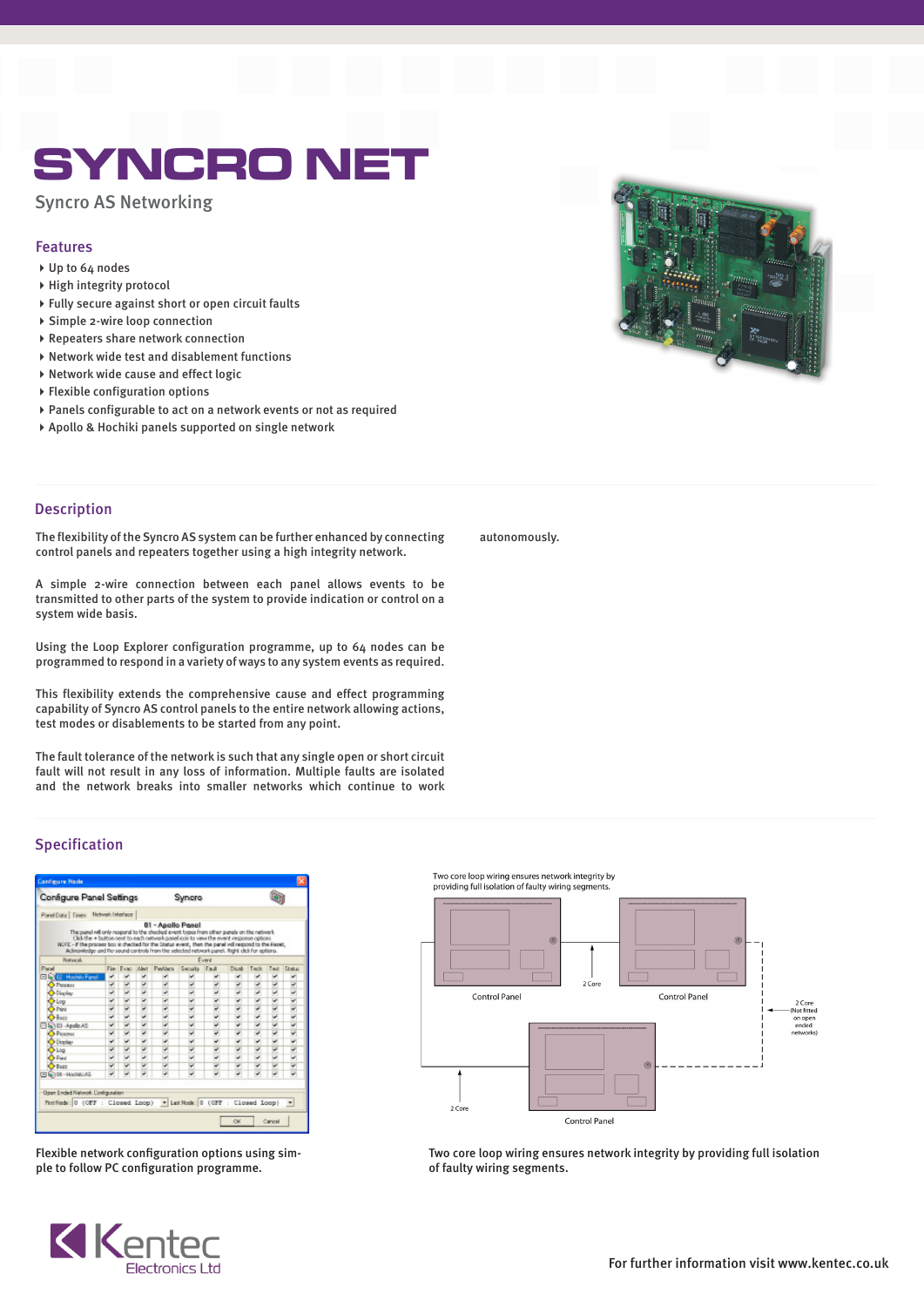# SYNCRO NET

Syncro AS Networking

## Features

- Up to 64 nodes
- High integrity protocol
- Fully secure against short or open circuit faults
- Simple 2-wire loop connection
- Repeaters share network connection
- $\rightarrow$  Network wide test and disablement functions
- ▶ Network wide cause and effect logic
- Flexible configuration options
- Panels configurable to act on a network events or not as required
- Apollo & Hochiki panels supported on single network



### Description

The flexibility of the Syncro AS system can be further enhanced by connecting control panels and repeaters together using a high integrity network.

A simple 2-wire connection between each panel allows events to be transmitted to other parts of the system to provide indication or control on a system wide basis.

Using the Loop Explorer configuration programme, up to 64 nodes can be programmed to respond in a variety of ways to any system events as required.

This flexibility extends the comprehensive cause and effect programming capability of Syncro AS control panels to the entire network allowing actions, test modes or disablements to be started from any point.

The fault tolerance of the network is such that any single open or short circuit fault will not result in any loss of information. Multiple faults are isolated and the network breaks into smaller networks which continue to work

#### autonomously.

## Specification

| Configure Panel Settings                                                                                                                                                                                                                                                                       |   |                  |    | Syncro                                                                                                      |                 |       |       |      |      |               |
|------------------------------------------------------------------------------------------------------------------------------------------------------------------------------------------------------------------------------------------------------------------------------------------------|---|------------------|----|-------------------------------------------------------------------------------------------------------------|-----------------|-------|-------|------|------|---------------|
| Panel Data   Times Notwork Interface                                                                                                                                                                                                                                                           |   |                  |    |                                                                                                             |                 |       |       |      |      |               |
| The panel will only respond to the checked event types from other panels on the network.<br>NOTE - If the process box is checked for the Status event, then the panel vill respond to the Reset,<br>Acknowledge and Re-sound cantrols from the selected network panel. Right dick for aptions. |   |                  |    | 01 - Apollo Panel<br>Click the + button next to each network gasel icon to view the event response options. |                 |       |       |      |      |               |
| Network.                                                                                                                                                                                                                                                                                       |   | Event            |    |                                                                                                             |                 |       |       |      |      |               |
| Panel                                                                                                                                                                                                                                                                                          |   | Fise Figure West |    | <b>Payliers</b>                                                                                             | <b>Security</b> | Fault | Diust | Tack | Test | <b>Status</b> |
| <b>02 Hochile Panel</b><br>a en                                                                                                                                                                                                                                                                |   |                  | u  |                                                                                                             |                 |       | ب     | v    |      |               |
| <b>O</b> Property                                                                                                                                                                                                                                                                              |   |                  | J  |                                                                                                             |                 | u     | u     | J    |      | u             |
| Distribu-                                                                                                                                                                                                                                                                                      |   |                  | u  | ٠                                                                                                           |                 | u     | u     | ٠    |      |               |
| C-Log                                                                                                                                                                                                                                                                                          |   |                  | ۷  |                                                                                                             |                 | ۷     | ٠     |      |      | $\frac{1}{2}$ |
| <b>D-Print</b>                                                                                                                                                                                                                                                                                 | v |                  | v  | ٠                                                                                                           | v               | ∍     | ٠     | ٠    | v    |               |
| $3 - 6$                                                                                                                                                                                                                                                                                        |   |                  | ¥, |                                                                                                             |                 |       | u     |      |      |               |
| 3Kalled-Apallo AS                                                                                                                                                                                                                                                                              |   |                  | ¥  |                                                                                                             |                 | ٠     | پ     |      |      | $\frac{4}{3}$ |
| <b>O</b> Process                                                                                                                                                                                                                                                                               |   |                  | ۷  | ۷                                                                                                           |                 | ٧     | ۰     |      |      |               |
| <b>O</b> Display                                                                                                                                                                                                                                                                               |   |                  | ب  |                                                                                                             |                 | پ     | پ     |      |      |               |
| $\bullet$ Log                                                                                                                                                                                                                                                                                  |   |                  | u  | v                                                                                                           |                 | ۵     | u     |      |      |               |
| <b>D-Print</b>                                                                                                                                                                                                                                                                                 |   |                  | u  | ٠                                                                                                           |                 | ٠     | ٠     |      |      |               |
| $O$ Burr                                                                                                                                                                                                                                                                                       |   |                  | ر  | ٠                                                                                                           |                 | ٠     | ں     |      |      |               |
| T 5104-Hockki.AS                                                                                                                                                                                                                                                                               |   |                  | ú  |                                                                                                             |                 | u     | v     |      |      |               |

Flexible network configuration options using simple to follow PC configuration programme.



Two core loop wiring ensures network integrity by providing full isolation of faulty wiring segments



Two core loop wiring ensures network integrity by providing full isolation of faulty wiring segments.